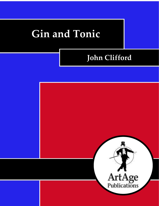# **Gin and Tonic**

# **John Clifford**

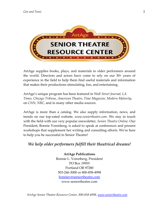

ArtAge supplies books, plays, and materials to older performers around the world. Directors and actors have come to rely on our 30+ years of experience in the field to help them find useful materials and information that makes their productions stimulating, fun, and entertaining.

ArtAge's unique program has been featured in *Wall Street Journal, LA Times, Chicago Tribune, American Theatre, Time Magazine, Modern Maturity,*  on *CNN, NBC,* and in many other media sources.

ArtAge is more than a catalog. We also supply information, news, and trends on our top-rated website, *www.seniortheatre.com*. We stay in touch with the field with our very popular enewsletter, *Senior Theatre Online*. Our President, Bonnie Vorenberg, is asked to speak at conferences and present workshops that supplement her writing and consulting efforts. We're here to help you be successful in Senior Theatre!

# *We help older performers fulfill their theatrical dreams!*

**ArtAge Publications** Bonnie L. Vorenberg, President PO Box 19955 Portland OR 97280 503-246-3000 or 800-858-4998 [bonniev@seniortheatre.com](mailto:bonniev@seniortheatre.com) www.seniortheatre.com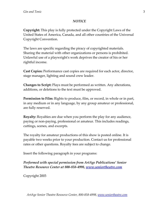# *NOTICE*

**Copyright:** This play is fully protected under the Copyright Laws of the United States of America, Canada, and all other countries of the Universal Copyright Convention.

The laws are specific regarding the piracy of copyrighted materials. Sharing the material with other organizations or persons is prohibited. Unlawful use of a playwright's work deprives the creator of his or her rightful income.

**Cast Copies:** Performance cast copies are required for each actor, director, stage manager, lighting and sound crew leader.

**Changes to Script:** Plays must be performed as written. Any alterations, additions, or deletions to the text must be approved.

**Permission to Film:** Rights to produce, film, or record, in whole or in part, in any medium or in any language, by any group amateur or professional, are fully reserved.

**Royalty:** Royalties are due when you perform the play for any audience, paying or non-paying, professional or amateur. This includes readings, cuttings, scenes, and excerpts.

The royalty for amateur productions of this show is posted online. It is payable two weeks prior to your production. Contact us for professional rates or other questions. Royalty fees are subject to change.

Insert the following paragraph in your programs:

*Performed with special permission from ArtAge Publications' Senior Theatre Resource Center at 800-858-4998, [www.seniortheatre.com](http://www.seniortheatre.com/)*

Copyright 2003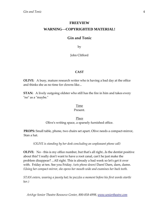# **FREEVIEW WARNING—COPYRIGHTED MATERIAL!**

## **Gin and Tonic**

by

John Clifford

#### **CAST**

**OLIVE:** A busy, mature research writer who is having a bad day at the office and thinks she as no time for clowns like...

**STAN:** A lively outgoing oldster who still has the fire in him and takes every "no" as a "maybe."

#### Time

#### Present.

#### Place

Olive's writing space, a sparsely furnished office.

**PROPS:** Small table, phone, two chairs set apart. Olive needs a compact-mirror, Stan a hat.

*(OLIVE is standing by her desk concluding an unpleasant phone call)*

**OLIVE:**No - this is my office number, but that's all right...Is the dentist positive about this? I really don't want to have a root canal, can't he just make the problem disappear? ...All right. This is already a bad week so let's get it over with. Friday at ten. See you Friday. *(sets phone down)* Darn! Darn, darn, damn. *(Using her compact-mirror, she opens her mouth wide and examines her back teeth.* 

*STAN enters, wearing a jaunty hat; he puzzles a moment before his first words startle her.)*

*ArtAge Senior Theatre Resource Center, 800-858-4998, [www.seniortheatre.com](http://www.seniortheatre.com/)*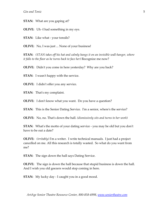**STAN:**What are you gaping at?

**OLIVE:**Uh -I had something in my eye.

**STAN:**Like what - your tonsils?

**OLIVE:** No, I was just ... None of your business!

**STAN:** *(STAN takes off his hat and calmly hangs it on an invisible wall-hanger, where it falls to the floor as he turns back to face her)* Recognize me now?

**OLIVE:**Didn't you come in here yesterday? Why are you back?

**STAN:** I wasn't happy with the service.

**OLIVE:**I didn't offer you any service.

**STAN:**That's my complaint.

**OLIVE:**I don't know what you want. Do you have a question?

**STAN:** This is the Senior Dating Service. I'm a senior, where's the service?

**OLIVE:**No, no. That's down the hall. *(dismissively sits and turns to her work)*

**STAN:**What's the motto of your dating service - you may be old but you don't have to be out a date?

**OLIVE:** *(irritably)* I'm a writer. I write technical manuals. I just had a project cancelled on me. All this research is totally wasted. So what do you want from me?

**STAN:** The sign down the hall says Dating Service.

**OLIVE:**The sign is down the hall because that stupid business is down the hall. And I wish you old geezers would stop coming in here.

**STAN:** My lucky day - I caught you in a good mood.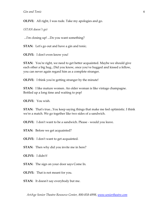**OLIVE:**All right, I was rude. Take my apologies and go.

*(STAN doesn't go)*

*...*I'm closing up! ...Do you want something?

**STAN:** Let's go out and have a gin and tonic.

**OLIVE:** I don't even know you!

**STAN:** You're right, we need to get better acquainted. Maybe we should give each other a big hug...Did you know, once you've hugged and kissed a fellow, you can never again regard him as a complete stranger.

**OLIVE:** I think you're getting stranger by the minute!

**STAN:** I like mature women. An older woman is like vintage champagne. Bottled up a long time and waiting to pop!

**OLIVE:** You wish.

**STAN:** That's true...You keep saying things that make me feel optimistic. I think we're a match. We go together like two sides of a sandwich.

**OLIVE:** I don't want to be a sandwich. Please - would you leave.

**STAN:** Before we get acquainted?

**OLIVE:** I don't want to get acquainted.

**STAN:** Then why did you invite me in here?

**OLIVE:** I didn't!

**STAN:** The sign on your door says Come In.

**OLIVE:** That is not meant for you.

**STAN:** It doesn't say everybody but me.